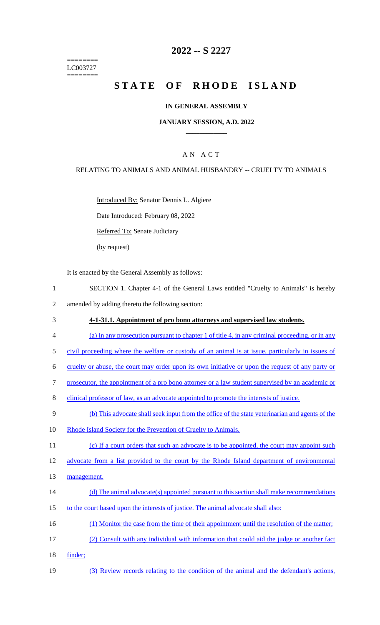======== LC003727 ========

## **2022 -- S 2227**

# **STATE OF RHODE ISLAND**

#### **IN GENERAL ASSEMBLY**

#### **JANUARY SESSION, A.D. 2022 \_\_\_\_\_\_\_\_\_\_\_\_**

#### A N A C T

## RELATING TO ANIMALS AND ANIMAL HUSBANDRY -- CRUELTY TO ANIMALS

Introduced By: Senator Dennis L. Algiere

Date Introduced: February 08, 2022

Referred To: Senate Judiciary

(by request)

It is enacted by the General Assembly as follows:

- 1 SECTION 1. Chapter 4-1 of the General Laws entitled "Cruelty to Animals" is hereby 2 amended by adding thereto the following section:
- 3 **4-1-31.1. Appointment of pro bono attorneys and supervised law students.**
- 4 (a) In any prosecution pursuant to chapter 1 of title 4, in any criminal proceeding, or in any
- 5 civil proceeding where the welfare or custody of an animal is at issue, particularly in issues of
- 6 cruelty or abuse, the court may order upon its own initiative or upon the request of any party or
- 7 prosecutor, the appointment of a pro bono attorney or a law student supervised by an academic or
- 8 clinical professor of law, as an advocate appointed to promote the interests of justice.
- 9 (b) This advocate shall seek input from the office of the state veterinarian and agents of the
- 10 Rhode Island Society for the Prevention of Cruelty to Animals.
- 11 (c) If a court orders that such an advocate is to be appointed, the court may appoint such

12 advocate from a list provided to the court by the Rhode Island department of environmental

- 13 management.
- 14 (d) The animal advocate(s) appointed pursuant to this section shall make recommendations
- 15 to the court based upon the interests of justice. The animal advocate shall also:
- 16 (1) Monitor the case from the time of their appointment until the resolution of the matter;
- 17 (2) Consult with any individual with information that could aid the judge or another fact
- 18 finder;
- 19 (3) Review records relating to the condition of the animal and the defendant's actions,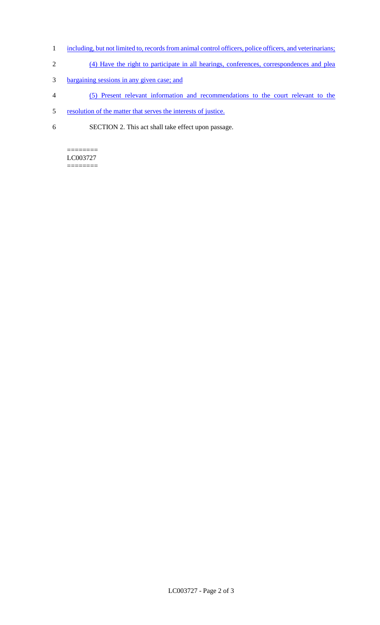- 1 including, but not limited to, records from animal control officers, police officers, and veterinarians;
- 2 (4) Have the right to participate in all hearings, conferences, correspondences and plea
- 3 bargaining sessions in any given case; and
- 4 (5) Present relevant information and recommendations to the court relevant to the
- 5 resolution of the matter that serves the interests of justice.
- 6 SECTION 2. This act shall take effect upon passage.

#### ======== LC003727

========